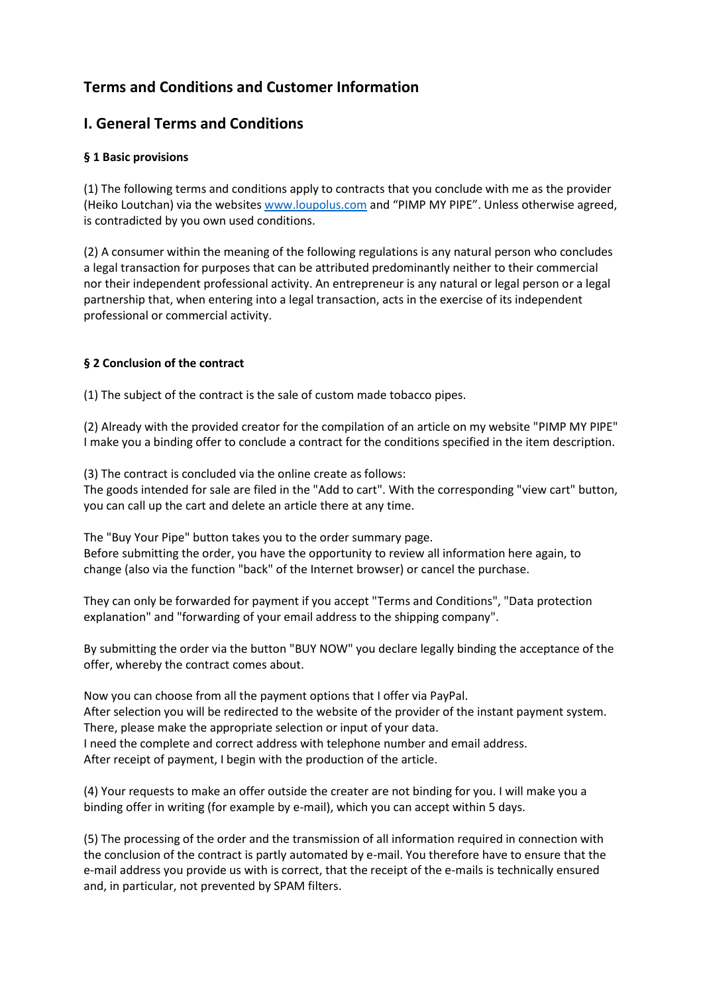# **Terms and Conditions and Customer Information**

## **I. General Terms and Conditions**

## **§ 1 Basic provisions**

(1) The following terms and conditions apply to contracts that you conclude with me as the provider (Heiko Loutchan) via the websites [www.loupolus.com](http://www.loupolus.com/) and "PIMP MY PIPE". Unless otherwise agreed, is contradicted by you own used conditions.

(2) A consumer within the meaning of the following regulations is any natural person who concludes a legal transaction for purposes that can be attributed predominantly neither to their commercial nor their independent professional activity. An entrepreneur is any natural or legal person or a legal partnership that, when entering into a legal transaction, acts in the exercise of its independent professional or commercial activity.

## **§ 2 Conclusion of the contract**

(1) The subject of the contract is the sale of custom made tobacco pipes.

(2) Already with the provided creator for the compilation of an article on my website "PIMP MY PIPE" I make you a binding offer to conclude a contract for the conditions specified in the item description.

(3) The contract is concluded via the online create as follows:

The goods intended for sale are filed in the "Add to cart". With the corresponding "view cart" button, you can call up the cart and delete an article there at any time.

The "Buy Your Pipe" button takes you to the order summary page. Before submitting the order, you have the opportunity to review all information here again, to change (also via the function "back" of the Internet browser) or cancel the purchase.

They can only be forwarded for payment if you accept "Terms and Conditions", "Data protection explanation" and "forwarding of your email address to the shipping company".

By submitting the order via the button "BUY NOW" you declare legally binding the acceptance of the offer, whereby the contract comes about.

Now you can choose from all the payment options that I offer via PayPal. After selection you will be redirected to the website of the provider of the instant payment system. There, please make the appropriate selection or input of your data. I need the complete and correct address with telephone number and email address. After receipt of payment, I begin with the production of the article.

(4) Your requests to make an offer outside the creater are not binding for you. I will make you a binding offer in writing (for example by e-mail), which you can accept within 5 days.

(5) The processing of the order and the transmission of all information required in connection with the conclusion of the contract is partly automated by e-mail. You therefore have to ensure that the e-mail address you provide us with is correct, that the receipt of the e-mails is technically ensured and, in particular, not prevented by SPAM filters.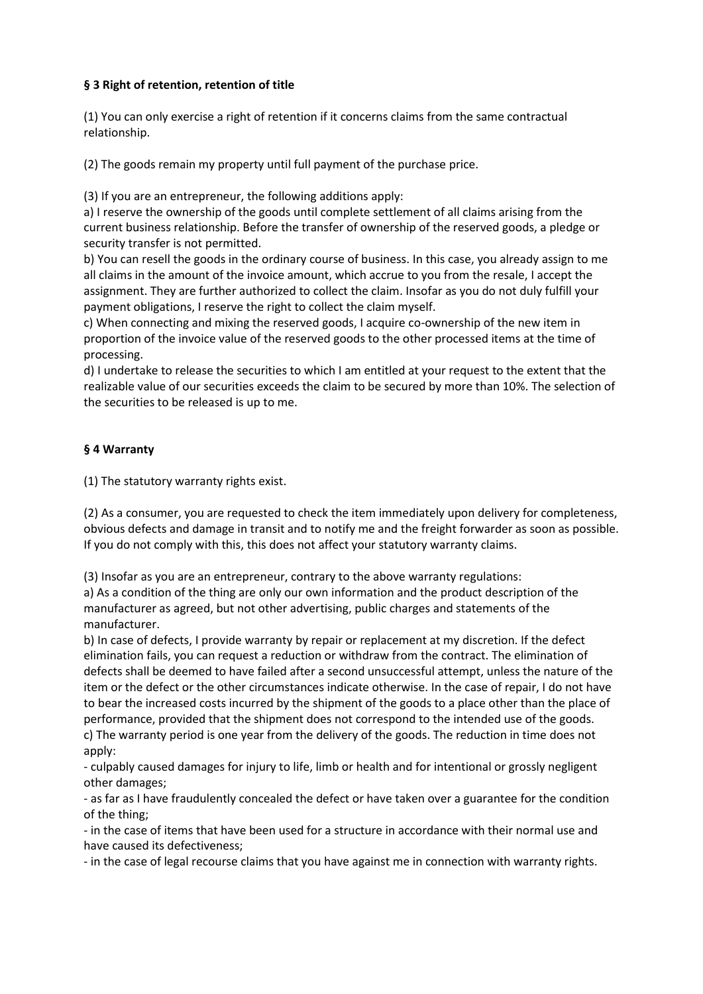### **§ 3 Right of retention, retention of title**

(1) You can only exercise a right of retention if it concerns claims from the same contractual relationship.

(2) The goods remain my property until full payment of the purchase price.

(3) If you are an entrepreneur, the following additions apply:

a) I reserve the ownership of the goods until complete settlement of all claims arising from the current business relationship. Before the transfer of ownership of the reserved goods, a pledge or security transfer is not permitted.

b) You can resell the goods in the ordinary course of business. In this case, you already assign to me all claims in the amount of the invoice amount, which accrue to you from the resale, I accept the assignment. They are further authorized to collect the claim. Insofar as you do not duly fulfill your payment obligations, I reserve the right to collect the claim myself.

c) When connecting and mixing the reserved goods, I acquire co-ownership of the new item in proportion of the invoice value of the reserved goods to the other processed items at the time of processing.

d) I undertake to release the securities to which I am entitled at your request to the extent that the realizable value of our securities exceeds the claim to be secured by more than 10%. The selection of the securities to be released is up to me.

### **§ 4 Warranty**

(1) The statutory warranty rights exist.

(2) As a consumer, you are requested to check the item immediately upon delivery for completeness, obvious defects and damage in transit and to notify me and the freight forwarder as soon as possible. If you do not comply with this, this does not affect your statutory warranty claims.

(3) Insofar as you are an entrepreneur, contrary to the above warranty regulations:

a) As a condition of the thing are only our own information and the product description of the manufacturer as agreed, but not other advertising, public charges and statements of the manufacturer.

b) In case of defects, I provide warranty by repair or replacement at my discretion. If the defect elimination fails, you can request a reduction or withdraw from the contract. The elimination of defects shall be deemed to have failed after a second unsuccessful attempt, unless the nature of the item or the defect or the other circumstances indicate otherwise. In the case of repair, I do not have to bear the increased costs incurred by the shipment of the goods to a place other than the place of performance, provided that the shipment does not correspond to the intended use of the goods. c) The warranty period is one year from the delivery of the goods. The reduction in time does not apply:

- culpably caused damages for injury to life, limb or health and for intentional or grossly negligent other damages;

- as far as I have fraudulently concealed the defect or have taken over a guarantee for the condition of the thing;

- in the case of items that have been used for a structure in accordance with their normal use and have caused its defectiveness;

- in the case of legal recourse claims that you have against me in connection with warranty rights.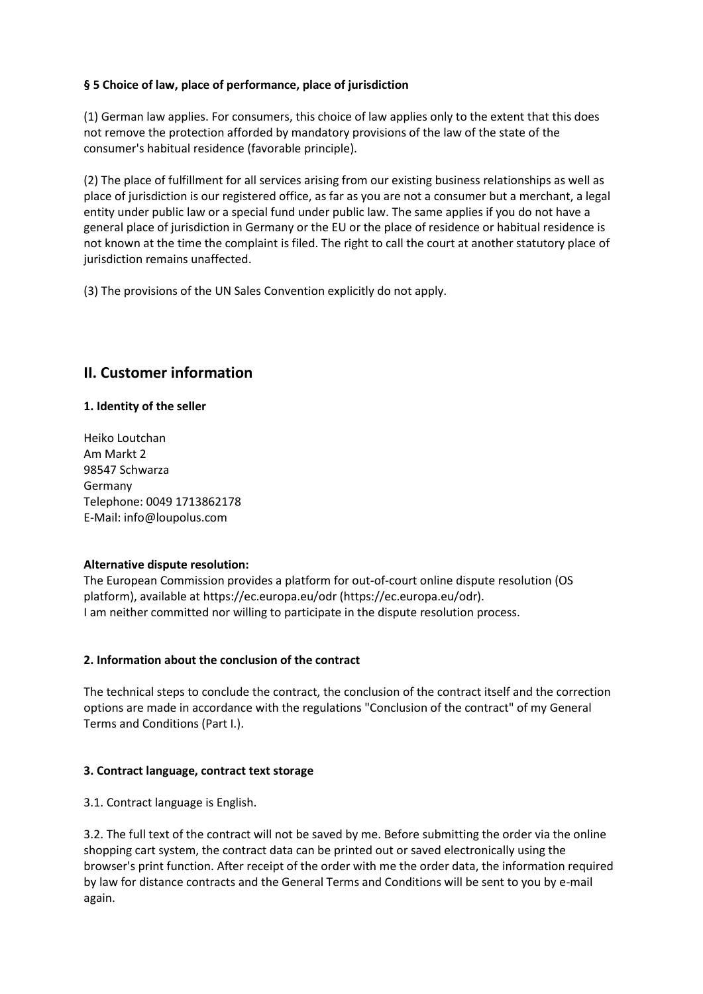### **§ 5 Choice of law, place of performance, place of jurisdiction**

(1) German law applies. For consumers, this choice of law applies only to the extent that this does not remove the protection afforded by mandatory provisions of the law of the state of the consumer's habitual residence (favorable principle).

(2) The place of fulfillment for all services arising from our existing business relationships as well as place of jurisdiction is our registered office, as far as you are not a consumer but a merchant, a legal entity under public law or a special fund under public law. The same applies if you do not have a general place of jurisdiction in Germany or the EU or the place of residence or habitual residence is not known at the time the complaint is filed. The right to call the court at another statutory place of jurisdiction remains unaffected.

(3) The provisions of the UN Sales Convention explicitly do not apply.

## **II. Customer information**

### **1. Identity of the seller**

Heiko Loutchan Am Markt 2 98547 Schwarza Germany Telephone: 0049 1713862178 E-Mail: info@loupolus.com

#### **Alternative dispute resolution:**

The European Commission provides a platform for out-of-court online dispute resolution (OS platform), available at https://ec.europa.eu/odr (https://ec.europa.eu/odr). I am neither committed nor willing to participate in the dispute resolution process.

### **2. Information about the conclusion of the contract**

The technical steps to conclude the contract, the conclusion of the contract itself and the correction options are made in accordance with the regulations "Conclusion of the contract" of my General Terms and Conditions (Part I.).

### **3. Contract language, contract text storage**

3.1. Contract language is English.

3.2. The full text of the contract will not be saved by me. Before submitting the order via the online shopping cart system, the contract data can be printed out or saved electronically using the browser's print function. After receipt of the order with me the order data, the information required by law for distance contracts and the General Terms and Conditions will be sent to you by e-mail again.